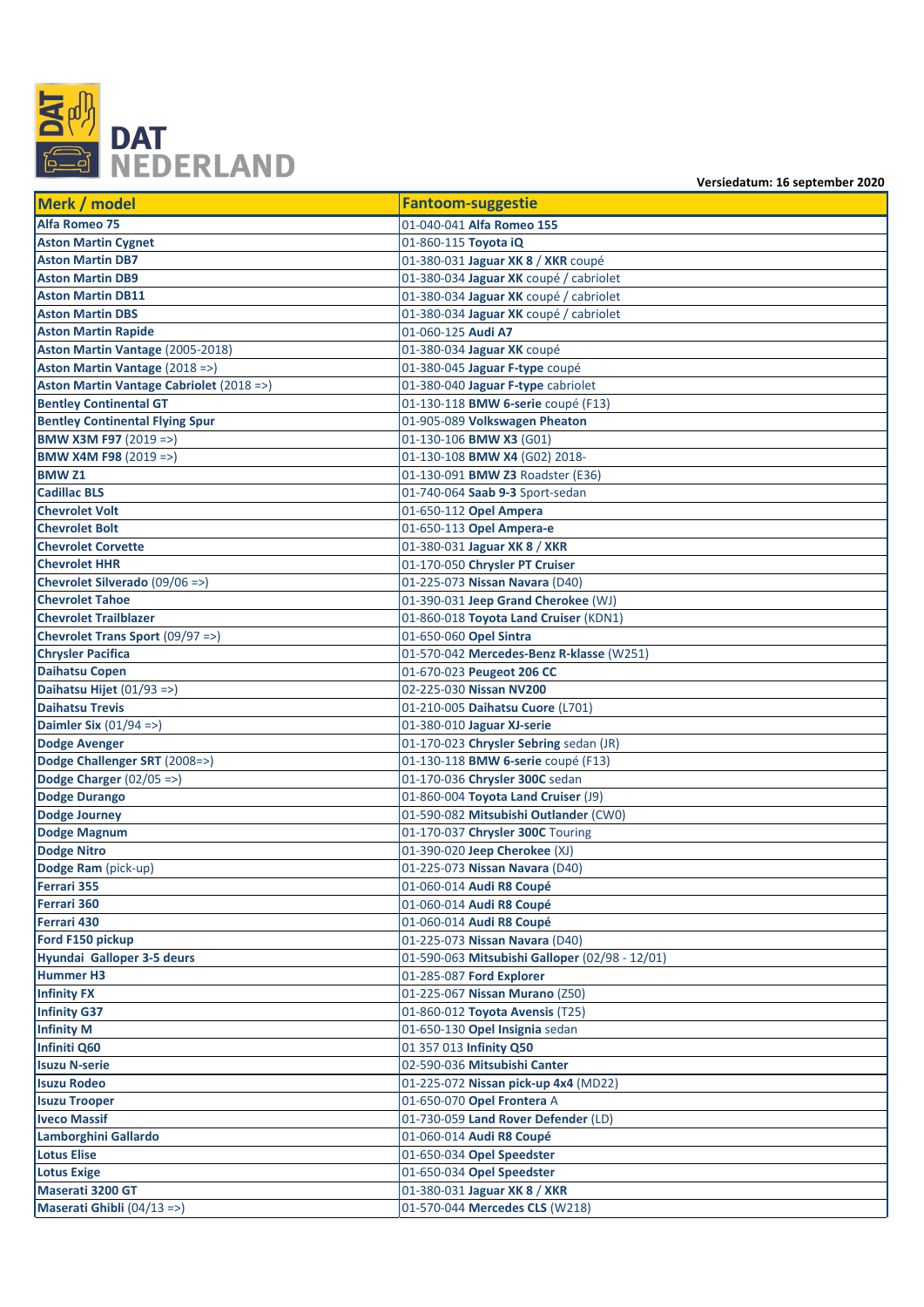

**Versiedatum: 16 september 2020**

| Merk / model                             | <b>Fantoom-suggestie</b>                       |
|------------------------------------------|------------------------------------------------|
| Alfa Romeo 75                            | 01-040-041 Alfa Romeo 155                      |
| <b>Aston Martin Cygnet</b>               | 01-860-115 Toyota iQ                           |
| <b>Aston Martin DB7</b>                  | 01-380-031 Jaguar XK 8 / XKR coupé             |
| <b>Aston Martin DB9</b>                  | 01-380-034 Jaguar XK coupé / cabriolet         |
| <b>Aston Martin DB11</b>                 | 01-380-034 Jaguar XK coupé / cabriolet         |
| <b>Aston Martin DBS</b>                  | 01-380-034 Jaguar XK coupé / cabriolet         |
| <b>Aston Martin Rapide</b>               | 01-060-125 Audi A7                             |
| Aston Martin Vantage (2005-2018)         | 01-380-034 Jaguar XK coupé                     |
| Aston Martin Vantage (2018 =>)           | 01-380-045 Jaguar F-type coupé                 |
| Aston Martin Vantage Cabriolet (2018 =>) | 01-380-040 Jaguar F-type cabriolet             |
| <b>Bentley Continental GT</b>            | 01-130-118 BMW 6-serie coupé (F13)             |
| <b>Bentley Continental Flying Spur</b>   | 01-905-089 Volkswagen Pheaton                  |
| <b>BMW X3M F97 (2019 =&gt;)</b>          | 01-130-106 BMW X3 (G01)                        |
| <b>BMW X4M F98</b> (2019 =>)             | 01-130-108 BMW X4 (G02) 2018-                  |
| <b>BMW Z1</b>                            | 01-130-091 BMW Z3 Roadster (E36)               |
| <b>Cadillac BLS</b>                      | 01-740-064 Saab 9-3 Sport-sedan                |
| <b>Chevrolet Volt</b>                    | 01-650-112 Opel Ampera                         |
| <b>Chevrolet Bolt</b>                    | 01-650-113 Opel Ampera-e                       |
| <b>Chevrolet Corvette</b>                | 01-380-031 Jaguar XK 8 / XKR                   |
| <b>Chevrolet HHR</b>                     | 01-170-050 Chrysler PT Cruiser                 |
| Chevrolet Silverado (09/06 =>)           | 01-225-073 Nissan Navara (D40)                 |
| <b>Chevrolet Tahoe</b>                   | 01-390-031 Jeep Grand Cherokee (WJ)            |
| <b>Chevrolet Trailblazer</b>             | 01-860-018 Toyota Land Cruiser (KDN1)          |
| Chevrolet Trans Sport (09/97 =>)         | 01-650-060 Opel Sintra                         |
| <b>Chrysler Pacifica</b>                 | 01-570-042 Mercedes-Benz R-klasse (W251)       |
| <b>Daihatsu Copen</b>                    | 01-670-023 Peugeot 206 CC                      |
| Daihatsu Hijet (01/93 =>)                | 02-225-030 Nissan NV200                        |
| <b>Daihatsu Trevis</b>                   | 01-210-005 Daihatsu Cuore (L701)               |
| Daimler Six $(01/94 =)$                  | 01-380-010 Jaguar XJ-serie                     |
| <b>Dodge Avenger</b>                     | 01-170-023 Chrysler Sebring sedan (JR)         |
| Dodge Challenger SRT (2008=>)            | 01-130-118 BMW 6-serie coupé (F13)             |
| Dodge Charger $(02/05 \Rightarrow)$      | 01-170-036 Chrysler 300C sedan                 |
| <b>Dodge Durango</b>                     | 01-860-004 Toyota Land Cruiser (J9)            |
| Dodge Journey                            | 01-590-082 Mitsubishi Outlander (CW0)          |
| Dodge Magnum                             | 01-170-037 Chrysler 300C Touring               |
| Dodge Nitro                              | 01-390-020 Jeep Cherokee (XJ)                  |
| Dodge Ram (pick-up)                      | 01-225-073 Nissan Navara (D40)                 |
| Ferrari 355                              | 01-060-014 Audi R8 Coupé                       |
| Ferrari 360                              | 01-060-014 Audi R8 Coupé                       |
| Ferrari 430                              | 01-060-014 Audi R8 Coupé                       |
| Ford F150 pickup                         | 01-225-073 Nissan Navara (D40)                 |
| Hyundai Galloper 3-5 deurs               | 01-590-063 Mitsubishi Galloper (02/98 - 12/01) |
| Hummer H3                                | 01-285-087 Ford Explorer                       |
| <b>Infinity FX</b>                       | 01-225-067 Nissan Murano (Z50)                 |
| <b>Infinity G37</b>                      | 01-860-012 Toyota Avensis (T25)                |
| <b>Infinity M</b>                        | 01-650-130 Opel Insignia sedan                 |
| Infiniti Q60                             | 01 357 013 Infinity Q50                        |
| <b>Isuzu N-serie</b>                     | 02-590-036 Mitsubishi Canter                   |
| <b>Isuzu Rodeo</b>                       | 01-225-072 Nissan pick-up 4x4 (MD22)           |
| <b>Isuzu Trooper</b>                     | 01-650-070 Opel Frontera A                     |
| <b>Iveco Massif</b>                      | 01-730-059 Land Rover Defender (LD)            |
| Lamborghini Gallardo                     | 01-060-014 Audi R8 Coupé                       |
| <b>Lotus Elise</b>                       | 01-650-034 Opel Speedster                      |
| <b>Lotus Exige</b>                       | 01-650-034 Opel Speedster                      |
| Maserati 3200 GT                         | 01-380-031 Jaguar XK 8 / XKR                   |
| Maserati Ghibli (04/13 =>)               | 01-570-044 Mercedes CLS (W218)                 |